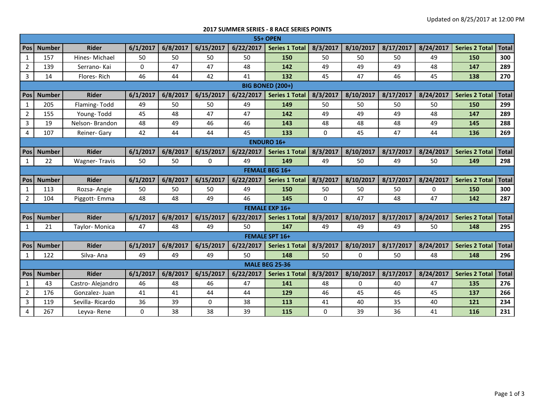## **2017 SUMMER SERIES - 8 RACE SERIES POINTS**

|                | <b>55+ OPEN</b>       |                      |              |          |             |           |                         |          |           |           |           |                       |              |
|----------------|-----------------------|----------------------|--------------|----------|-------------|-----------|-------------------------|----------|-----------|-----------|-----------|-----------------------|--------------|
| <b>Pos</b>     | <b>Number</b>         | <b>Rider</b>         | 6/1/2017     | 6/8/2017 | 6/15/2017   | 6/22/2017 | <b>Series 1 Total</b>   | 8/3/2017 | 8/10/2017 | 8/17/2017 | 8/24/2017 | <b>Series 2 Total</b> | <b>Total</b> |
| $\mathbf{1}$   | 157                   | Hines-Michael        | 50           | 50       | 50          | 50        | 150                     | 50       | 50        | 50        | 49        | 150                   | 300          |
| $\overline{2}$ | 139                   | Serrano-Kai          | $\mathbf{0}$ | 47       | 47          | 48        | 142                     | 49       | 49        | 49        | 48        | 147                   | 289          |
| 3              | 14                    | Flores-Rich          | 46           | 44       | 42          | 41        | 132                     | 45       | 47        | 46        | 45        | 138                   | 270          |
|                |                       |                      |              |          |             |           | <b>BIG BONED (200+)</b> |          |           |           |           |                       |              |
| <b>Pos</b>     | <b>Number</b>         | <b>Rider</b>         | 6/1/2017     | 6/8/2017 | 6/15/2017   | 6/22/2017 | <b>Series 1 Total</b>   | 8/3/2017 | 8/10/2017 | 8/17/2017 | 8/24/2017 | <b>Series 2 Total</b> | <b>Total</b> |
| 1              | 205                   | Flaming-Todd         | 49           | 50       | 50          | 49        | 149                     | 50       | 50        | 50        | 50        | 150                   | 299          |
| $\overline{2}$ | 155                   | Young-Todd           | 45           | 48       | 47          | 47        | 142                     | 49       | 49        | 49        | 48        | 147                   | 289          |
| 3              | 19                    | Nelson-Brandon       | 48           | 49       | 46          | 46        | 143                     | 48       | 48        | 48        | 49        | 145                   | 288          |
| 4              | 107                   | Reiner- Gary         | 42           | 44       | 44          | 45        | 133                     | 0        | 45        | 47        | 44        | 136                   | 269          |
|                |                       |                      |              |          |             |           | <b>ENDURO 16+</b>       |          |           |           |           |                       |              |
| <b>Pos</b>     | <b>Number</b>         | <b>Rider</b>         | 6/1/2017     | 6/8/2017 | 6/15/2017   | 6/22/2017 | Series 1 Total          | 8/3/2017 | 8/10/2017 | 8/17/2017 | 8/24/2017 | <b>Series 2 Total</b> | <b>Total</b> |
| $\mathbf{1}$   | 22                    | <b>Wagner-Travis</b> | 50           | 50       | $\mathbf 0$ | 49        | 149                     | 49       | 50        | 49        | 50        | 149                   | 298          |
|                | <b>FEMALE BEG 16+</b> |                      |              |          |             |           |                         |          |           |           |           |                       |              |
| Pos            | <b>Number</b>         | <b>Rider</b>         | 6/1/2017     | 6/8/2017 | 6/15/2017   | 6/22/2017 | <b>Series 1 Total</b>   | 8/3/2017 | 8/10/2017 | 8/17/2017 | 8/24/2017 | <b>Series 2 Total</b> | <b>Total</b> |
| 1              | 113                   | Rozsa-Angie          | 50           | 50       | 50          | 49        | 150                     | 50       | 50        | 50        | 0         | 150                   | 300          |
| $\overline{2}$ | 104                   | Piggott-Emma         | 48           | 48       | 49          | 46        | 145                     | 0        | 47        | 48        | 47        | 142                   | 287          |
|                |                       |                      |              |          |             |           | <b>FEMALE EXP 16+</b>   |          |           |           |           |                       |              |
| Pos            | <b>Number</b>         | <b>Rider</b>         | 6/1/2017     | 6/8/2017 | 6/15/2017   | 6/22/2017 | <b>Series 1 Total</b>   | 8/3/2017 | 8/10/2017 | 8/17/2017 | 8/24/2017 | <b>Series 2 Total</b> | <b>Total</b> |
| 1              | 21                    | Taylor-Monica        | 47           | 48       | 49          | 50        | 147                     | 49       | 49        | 49        | 50        | 148                   | 295          |
|                |                       |                      |              |          |             |           | <b>FEMALE SPT 16+</b>   |          |           |           |           |                       |              |
| <b>Pos</b>     | <b>Number</b>         | <b>Rider</b>         | 6/1/2017     | 6/8/2017 | 6/15/2017   | 6/22/2017 | <b>Series 1 Total</b>   | 8/3/2017 | 8/10/2017 | 8/17/2017 | 8/24/2017 | <b>Series 2 Total</b> | <b>Total</b> |
| 1              | 122                   | Silva-Ana            | 49           | 49       | 49          | 50        | 148                     | 50       | 0         | 50        | 48        | 148                   | 296          |
|                | <b>MALE BEG 25-36</b> |                      |              |          |             |           |                         |          |           |           |           |                       |              |
| Pos            | <b>Number</b>         | <b>Rider</b>         | 6/1/2017     | 6/8/2017 | 6/15/2017   | 6/22/2017 | <b>Series 1 Total</b>   | 8/3/2017 | 8/10/2017 | 8/17/2017 | 8/24/2017 | <b>Series 2 Total</b> | <b>Total</b> |
| $\mathbf{1}$   | 43                    | Castro-Alejandro     | 46           | 48       | 46          | 47        | 141                     | 48       | 0         | 40        | 47        | 135                   | 276          |
| $\overline{2}$ | 176                   | Gonzalez-Juan        | 41           | 41       | 44          | 44        | 129                     | 46       | 45        | 46        | 45        | 137                   | 266          |
| $\overline{3}$ | 119                   | Sevilla-Ricardo      | 36           | 39       | $\mathbf 0$ | 38        | 113                     | 41       | 40        | 35        | 40        | 121                   | 234          |
| 4              | 267                   | Leyva-Rene           | $\mathbf{0}$ | 38       | 38          | 39        | 115                     | 0        | 39        | 36        | 41        | 116                   | 231          |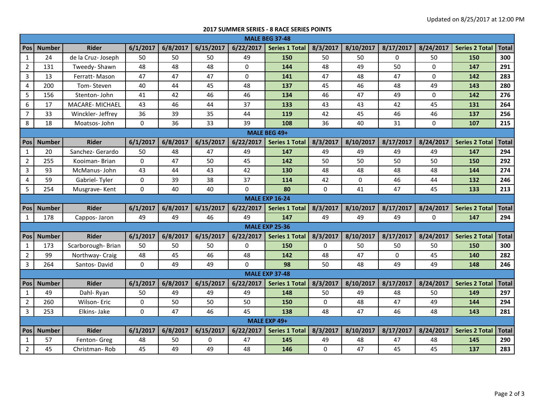## **2017 SUMMER SERIES - 8 RACE SERIES POINTS**

|                | <b>MALE BEG 37-48</b> |                   |              |          |           |             |                       |          |             |           |             |                       |              |
|----------------|-----------------------|-------------------|--------------|----------|-----------|-------------|-----------------------|----------|-------------|-----------|-------------|-----------------------|--------------|
| <b>Pos</b>     | <b>Number</b>         | <b>Rider</b>      | 6/1/2017     | 6/8/2017 | 6/15/2017 | 6/22/2017   | <b>Series 1 Total</b> | 8/3/2017 | 8/10/2017   | 8/17/2017 | 8/24/2017   | <b>Series 2 Total</b> | <b>Total</b> |
| $\mathbf{1}$   | 24                    | de la Cruz-Joseph | 50           | 50       | 50        | 49          | 150                   | 50       | 50          | $\Omega$  | 50          | 150                   | 300          |
| $\overline{2}$ | 131                   | Tweedy-Shawn      | 48           | 48       | 48        | 0           | 144                   | 48       | 49          | 50        | $\mathbf 0$ | 147                   | 291          |
| $\overline{3}$ | 13                    | Ferratt-Mason     | 47           | 47       | 47        | $\mathbf 0$ | 141                   | 47       | 48          | 47        | $\mathbf 0$ | 142                   | 283          |
| 4              | 200                   | Tom-Steven        | 40           | 44       | 45        | 48          | 137                   | 45       | 46          | 48        | 49          | 143                   | 280          |
| 5              | 156                   | Stenton- John     | 41           | 42       | 46        | 46          | 134                   | 46       | 47          | 49        | 0           | 142                   | 276          |
| 6              | 17                    | MACARE-MICHAEL    | 43           | 46       | 44        | 37          | 133                   | 43       | 43          | 42        | 45          | 131                   | 264          |
| $\overline{7}$ | 33                    | Winckler-Jeffrey  | 36           | 39       | 35        | 44          | 119                   | 42       | 45          | 46        | 46          | 137                   | 256          |
| 8              | 18                    | Moatsos-John      | $\mathbf{0}$ | 36       | 33        | 39          | 108                   | 36       | 40          | 31        | $\Omega$    | 107                   | 215          |
| MALE BEG 49+   |                       |                   |              |          |           |             |                       |          |             |           |             |                       |              |
| <b>Pos</b>     | <b>Number</b>         | <b>Rider</b>      | 6/1/2017     | 6/8/2017 | 6/15/2017 | 6/22/2017   | <b>Series 1 Total</b> | 8/3/2017 | 8/10/2017   | 8/17/2017 | 8/24/2017   | <b>Series 2 Total</b> | <b>Total</b> |
| $\mathbf{1}$   | 20                    | Sanchez- Gerardo  | 50           | 48       | 47        | 49          | 147                   | 49       | 49          | 49        | 49          | 147                   | 294          |
| $\overline{2}$ | 255                   | Kooiman-Brian     | $\mathbf{0}$ | 47       | 50        | 45          | 142                   | 50       | 50          | 50        | 50          | 150                   | 292          |
| 3              | 93                    | McManus-John      | 43           | 44       | 43        | 42          | 130                   | 48       | 48          | 48        | 48          | 144                   | 274          |
| 4              | 59                    | Gabriel-Tyler     | 0            | 39       | 38        | 37          | 114                   | 42       | $\mathbf 0$ | 46        | 44          | 132                   | 246          |
| 5              | 254                   | Musgrave-Kent     | $\mathbf 0$  | 40       | 40        | $\mathbf 0$ | 80                    | 0        | 41          | 47        | 45          | 133                   | 213          |
|                |                       |                   |              |          |           |             | <b>MALE EXP 16-24</b> |          |             |           |             |                       |              |
| Pos            | <b>Number</b>         | <b>Rider</b>      | 6/1/2017     | 6/8/2017 | 6/15/2017 | 6/22/2017   | <b>Series 1 Total</b> | 8/3/2017 | 8/10/2017   | 8/17/2017 | 8/24/2017   | <b>Series 2 Total</b> | <b>Total</b> |
| 1              | 178                   | Cappos- Jaron     | 49           | 49       | 46        | 49          | 147                   | 49       | 49          | 49        | $\Omega$    | 147                   | 294          |
|                |                       |                   |              |          |           |             | <b>MALE EXP 25-36</b> |          |             |           |             |                       |              |
| <b>Pos</b>     | <b>Number</b>         | <b>Rider</b>      | 6/1/2017     | 6/8/2017 | 6/15/2017 | 6/22/2017   | <b>Series 1 Total</b> | 8/3/2017 | 8/10/2017   | 8/17/2017 | 8/24/2017   | <b>Series 2 Total</b> | <b>Total</b> |
| $\mathbf{1}$   | 173                   | Scarborough-Brian | 50           | 50       | 50        | 0           | 150                   | 0        | 50          | 50        | 50          | 150                   | 300          |
| $\overline{2}$ | 99                    | Northway- Craig   | 48           | 45       | 46        | 48          | 142                   | 48       | 47          | $\Omega$  | 45          | 140                   | 282          |
| 3              | 264                   | Santos-David      | $\mathbf 0$  | 49       | 49        | $\Omega$    | 98                    | 50       | 48          | 49        | 49          | 148                   | 246          |
|                |                       |                   |              |          |           |             | <b>MALE EXP 37-48</b> |          |             |           |             |                       |              |
| Pos            | <b>Number</b>         | <b>Rider</b>      | 6/1/2017     | 6/8/2017 | 6/15/2017 | 6/22/2017   | <b>Series 1 Total</b> | 8/3/2017 | 8/10/2017   | 8/17/2017 | 8/24/2017   | <b>Series 2 Total</b> | <b>Total</b> |
| $\mathbf{1}$   | 49                    | Dahl-Ryan         | 50           | 49       | 49        | 49          | 148                   | 50       | 49          | 48        | 50          | 149                   | 297          |
| $\overline{2}$ | 260                   | Wilson-Eric       | $\mathbf 0$  | 50       | 50        | 50          | 150                   | 0        | 48          | 47        | 49          | 144                   | 294          |
| 3              | 253                   | Elkins-Jake       | $\Omega$     | 47       | 46        | 45          | 138                   | 48       | 47          | 46        | 48          | 143                   | 281          |
|                | MALE EXP 49+          |                   |              |          |           |             |                       |          |             |           |             |                       |              |
| <b>Pos</b>     | <b>Number</b>         | <b>Rider</b>      | 6/1/2017     | 6/8/2017 | 6/15/2017 | 6/22/2017   | <b>Series 1 Total</b> | 8/3/2017 | 8/10/2017   | 8/17/2017 | 8/24/2017   | <b>Series 2 Total</b> | <b>Total</b> |
| $\mathbf{1}$   | 57                    | Fenton- Greg      | 48           | 50       | 0         | 47          | 145                   | 49       | 48          | 47        | 48          | 145                   | 290          |
| $\overline{2}$ | 45                    | Christman-Rob     | 45           | 49       | 49        | 48          | 146                   | 0        | 47          | 45        | 45          | 137                   | 283          |